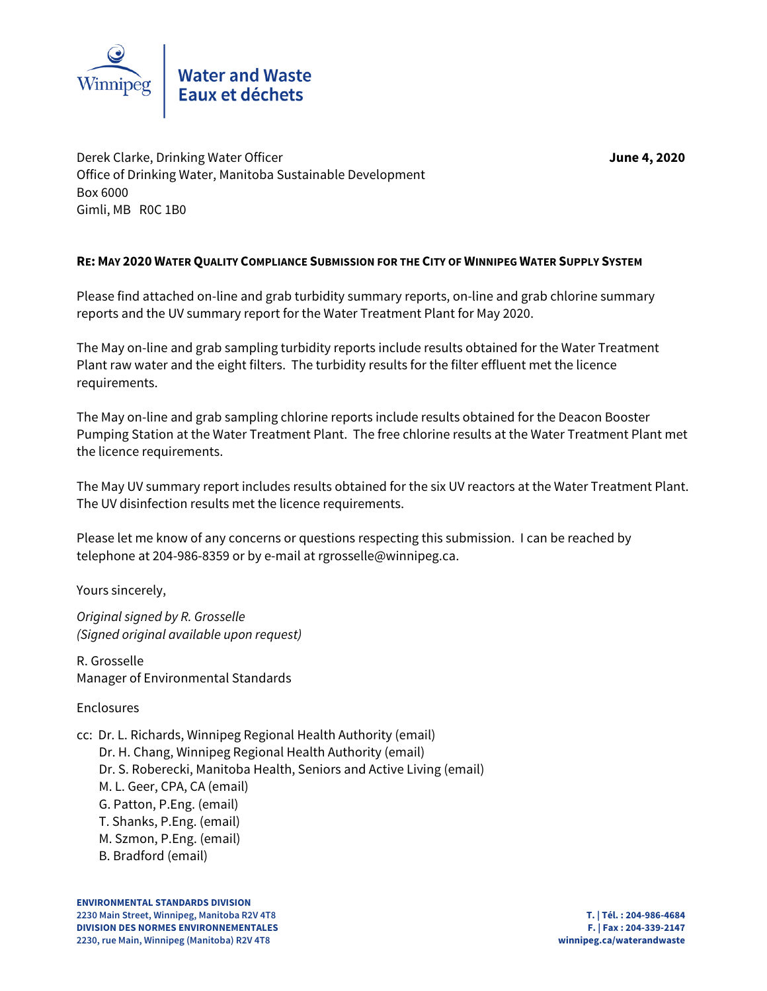

Derek Clarke, Drinking Water Officer **June 4, 2020** Office of Drinking Water, Manitoba Sustainable Development Box 6000 Gimli, MB R0C 1B0

# **RE: MAY 2020 WATER QUALITY COMPLIANCE SUBMISSION FOR THE CITY OF WINNIPEG WATER SUPPLY SYSTEM**

Please find attached on-line and grab turbidity summary reports, on-line and grab chlorine summary reports and the UV summary report for the Water Treatment Plant for May 2020.

The May on-line and grab sampling turbidity reports include results obtained for the Water Treatment Plant raw water and the eight filters. The turbidity results for the filter effluent met the licence requirements.

The May on-line and grab sampling chlorine reports include results obtained for the Deacon Booster Pumping Station at the Water Treatment Plant. The free chlorine results at the Water Treatment Plant met the licence requirements.

The May UV summary report includes results obtained for the six UV reactors at the Water Treatment Plant. The UV disinfection results met the licence requirements.

Please let me know of any concerns or questions respecting this submission. I can be reached by telephone at 204-986-8359 or by e-mail at rgrosselle@winnipeg.ca.

Yours sincerely,

Original signed by R. Grosselle (Signed original available upon request)

R. Grosselle Manager of Environmental Standards

Enclosures

cc: Dr. L. Richards, Winnipeg Regional Health Authority (email)

- Dr. H. Chang, Winnipeg Regional Health Authority (email)
- Dr. S. Roberecki, Manitoba Health, Seniors and Active Living (email)
- M. L. Geer, CPA, CA (email)
- G. Patton, P.Eng. (email)
- T. Shanks, P.Eng. (email)
- M. Szmon, P.Eng. (email)
- B. Bradford (email)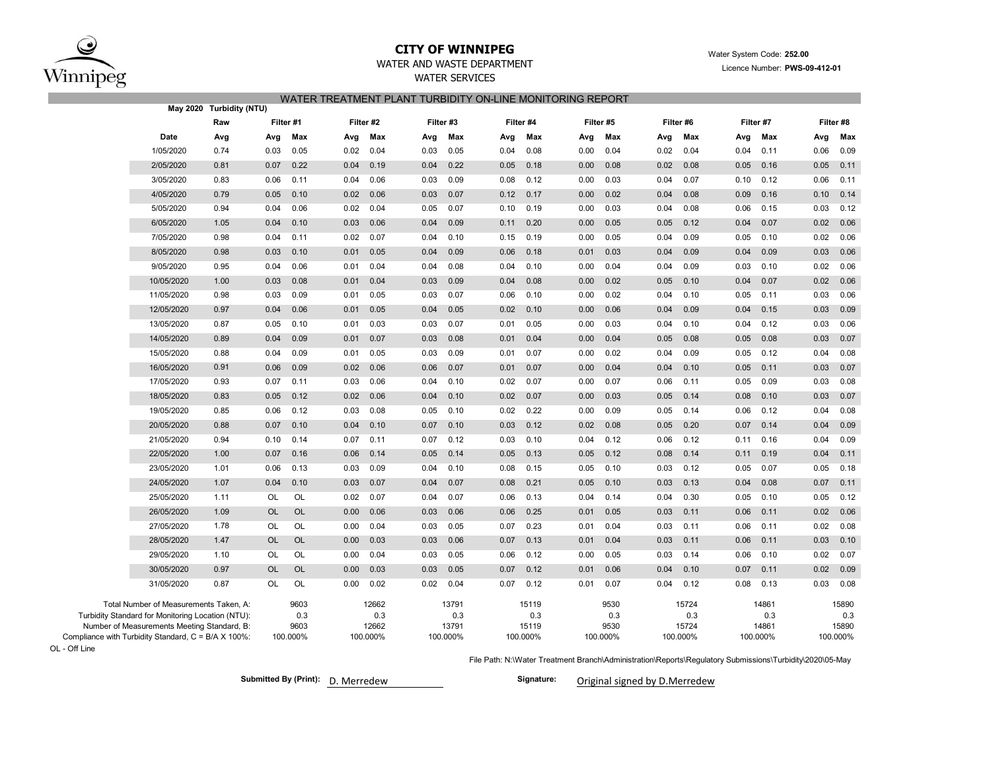

### **CITY OF WINNIPEG**WATER AND WASTE DEPARTMENT

## WATER SERVICES WATER TREATMENT PLANT TURBIDITY ON-LINE MONITORING REPORT

|                                                                                                                                                                                                   | May 2020 Turbidity (NTU) |           |                     |           |                                   |           |                                   |           |                                   |           |                                 |           |                                   |           |                                   |           |                       |
|---------------------------------------------------------------------------------------------------------------------------------------------------------------------------------------------------|--------------------------|-----------|---------------------|-----------|-----------------------------------|-----------|-----------------------------------|-----------|-----------------------------------|-----------|---------------------------------|-----------|-----------------------------------|-----------|-----------------------------------|-----------|-----------------------|
|                                                                                                                                                                                                   | Raw                      | Filter #1 |                     | Filter #2 |                                   | Filter #3 |                                   | Filter #4 |                                   | Filter #5 |                                 | Filter #6 |                                   | Filter #7 |                                   | Filter #8 |                       |
| Date                                                                                                                                                                                              | Avg                      | Avg       | Max                 | Avg       | Max                               | Avg       | Max                               | Avg       | Max                               | Avg       | Max                             | Avg       | Max                               | Avg       | Max                               | Avg       | Max                   |
| 1/05/2020                                                                                                                                                                                         | 0.74                     | 0.03      | 0.05                | 0.02      | 0.04                              | 0.03      | 0.05                              | 0.04      | 0.08                              | 0.00      | 0.04                            | 0.02      | 0.04                              | 0.04      | 0.11                              | 0.06      | 0.09                  |
| 2/05/2020                                                                                                                                                                                         | 0.81                     | 0.07      | 0.22                | 0.04      | 0.19                              | 0.04      | 0.22                              | 0.05      | 0.18                              | 0.00      | 0.08                            | 0.02      | 0.08                              | 0.05      | 0.16                              | 0.05      | 0.11                  |
| 3/05/2020                                                                                                                                                                                         | 0.83                     | 0.06      | 0.11                | 0.04      | 0.06                              | 0.03      | 0.09                              | 0.08      | 0.12                              | 0.00      | 0.03                            | 0.04      | 0.07                              | 0.10      | 0.12                              | 0.06      | 0.11                  |
| 4/05/2020                                                                                                                                                                                         | 0.79                     | 0.05      | 0.10                | 0.02      | 0.06                              | 0.03      | 0.07                              | 0.12      | 0.17                              | 0.00      | 0.02                            | 0.04      | 0.08                              | 0.09      | 0.16                              | 0.10      | 0.14                  |
| 5/05/2020                                                                                                                                                                                         | 0.94                     | 0.04      | 0.06                | 0.02      | 0.04                              | 0.05      | 0.07                              | 0.10      | 0.19                              | 0.00      | 0.03                            | 0.04      | 0.08                              | 0.06      | 0.15                              | 0.03      | 0.12                  |
| 6/05/2020                                                                                                                                                                                         | 1.05                     | 0.04      | 0.10                | 0.03      | 0.06                              | 0.04      | 0.09                              | 0.11      | 0.20                              | 0.00      | 0.05                            | 0.05      | 0.12                              | 0.04      | 0.07                              | 0.02      | 0.06                  |
| 7/05/2020                                                                                                                                                                                         | 0.98                     | 0.04      | 0.11                | 0.02      | 0.07                              | 0.04      | 0.10                              | 0.15      | 0.19                              | 0.00      | 0.05                            | 0.04      | 0.09                              | 0.05      | 0.10                              | 0.02      | 0.06                  |
| 8/05/2020                                                                                                                                                                                         | 0.98                     | 0.03      | 0.10                | 0.01      | 0.05                              | 0.04      | 0.09                              | 0.06      | 0.18                              | 0.01      | 0.03                            | 0.04      | 0.09                              | 0.04      | 0.09                              | 0.03      | 0.06                  |
| 9/05/2020                                                                                                                                                                                         | 0.95                     | 0.04      | 0.06                | 0.01      | 0.04                              | 0.04      | 0.08                              | 0.04      | 0.10                              | 0.00      | 0.04                            | 0.04      | 0.09                              | 0.03      | 0.10                              | 0.02      | 0.06                  |
| 10/05/2020                                                                                                                                                                                        | 1.00                     | 0.03      | 0.08                | 0.01      | 0.04                              | 0.03      | 0.09                              | 0.04      | 0.08                              | 0.00      | 0.02                            | 0.05      | 0.10                              | 0.04      | 0.07                              | 0.02      | 0.06                  |
| 11/05/2020                                                                                                                                                                                        | 0.98                     | 0.03      | 0.09                | 0.01      | 0.05                              | 0.03      | 0.07                              | 0.06      | 0.10                              | 0.00      | 0.02                            | 0.04      | 0.10                              | 0.05      | 0.11                              | 0.03      | 0.06                  |
| 12/05/2020                                                                                                                                                                                        | 0.97                     | 0.04      | 0.06                | 0.01      | 0.05                              | 0.04      | 0.05                              | 0.02      | 0.10                              | 0.00      | 0.06                            | 0.04      | 0.09                              | 0.04      | 0.15                              | 0.03      | 0.09                  |
| 13/05/2020                                                                                                                                                                                        | 0.87                     | 0.05      | 0.10                | 0.01      | 0.03                              | 0.03      | 0.07                              | 0.01      | 0.05                              | 0.00      | 0.03                            | 0.04      | 0.10                              | 0.04      | 0.12                              | 0.03      | 0.06                  |
| 14/05/2020                                                                                                                                                                                        | 0.89                     | 0.04      | 0.09                | 0.01      | 0.07                              | 0.03      | 0.08                              | 0.01      | 0.04                              | 0.00      | 0.04                            | 0.05      | 0.08                              | 0.05      | 0.08                              | 0.03      | 0.07                  |
| 15/05/2020                                                                                                                                                                                        | 0.88                     | 0.04      | 0.09                | 0.01      | 0.05                              | 0.03      | 0.09                              | 0.01      | 0.07                              | 0.00      | 0.02                            | 0.04      | 0.09                              | 0.05      | 0.12                              | 0.04      | 0.08                  |
| 16/05/2020                                                                                                                                                                                        | 0.91                     | 0.06      | 0.09                | 0.02      | 0.06                              | 0.06      | 0.07                              | 0.01      | 0.07                              | 0.00      | 0.04                            | 0.04      | 0.10                              | 0.05      | 0.11                              | 0.03      | 0.07                  |
| 17/05/2020                                                                                                                                                                                        | 0.93                     | 0.07      | 0.11                | 0.03      | 0.06                              | 0.04      | 0.10                              | 0.02      | 0.07                              | 0.00      | 0.07                            | 0.06      | 0.11                              | 0.05      | 0.09                              | 0.03      | 0.08                  |
| 18/05/2020                                                                                                                                                                                        | 0.83                     | 0.05      | 0.12                | 0.02      | 0.06                              | 0.04      | 0.10                              | 0.02      | 0.07                              | 0.00      | 0.03                            | 0.05      | 0.14                              | 0.08      | 0.10                              | 0.03      | 0.07                  |
| 19/05/2020                                                                                                                                                                                        | 0.85                     | 0.06      | 0.12                | 0.03      | 0.08                              | 0.05      | 0.10                              | 0.02      | 0.22                              | 0.00      | 0.09                            | 0.05      | 0.14                              | 0.06      | 0.12                              | 0.04      | 0.08                  |
| 20/05/2020                                                                                                                                                                                        | 0.88                     | 0.07      | 0.10                | 0.04      | 0.10                              | 0.07      | 0.10                              | 0.03      | 0.12                              | 0.02      | 0.08                            | 0.05      | 0.20                              | 0.07      | 0.14                              | 0.04      | 0.09                  |
| 21/05/2020                                                                                                                                                                                        | 0.94                     | 0.10      | 0.14                | 0.07      | 0.11                              | 0.07      | 0.12                              | 0.03      | 0.10                              | 0.04      | 0.12                            | 0.06      | 0.12                              | 0.11      | 0.16                              | 0.04      | 0.09                  |
| 22/05/2020                                                                                                                                                                                        | 1.00                     | 0.07      | 0.16                | 0.06      | 0.14                              | 0.05      | 0.14                              | 0.05      | 0.13                              | 0.05      | 0.12                            | 0.08      | 0.14                              | 0.11      | 0.19                              | 0.04      | 0.11                  |
| 23/05/2020                                                                                                                                                                                        | 1.01                     | 0.06      | 0.13                | 0.03      | 0.09                              | 0.04      | 0.10                              | 0.08      | 0.15                              | 0.05      | 0.10                            | 0.03      | 0.12                              | 0.05      | 0.07                              | 0.05      | 0.18                  |
| 24/05/2020                                                                                                                                                                                        | 1.07                     | 0.04      | 0.10                | 0.03      | 0.07                              | 0.04      | 0.07                              | 0.08      | 0.21                              | 0.05      | 0.10                            | 0.03      | 0.13                              | 0.04      | 0.08                              | 0.07      | 0.11                  |
| 25/05/2020                                                                                                                                                                                        | 1.11                     | <b>OL</b> | OL                  | 0.02      | 0.07                              | 0.04      | 0.07                              | 0.06      | 0.13                              | 0.04      | 0.14                            | 0.04      | 0.30                              | 0.05      | 0.10                              | 0.05      | 0.12                  |
| 26/05/2020                                                                                                                                                                                        | 1.09                     | <b>OL</b> | <b>OL</b>           | 0.00      | 0.06                              | 0.03      | 0.06                              | 0.06      | 0.25                              | 0.01      | 0.05                            | 0.03      | 0.11                              | 0.06      | 0.11                              | 0.02      | 0.06                  |
| 27/05/2020                                                                                                                                                                                        | 1.78                     | <b>OL</b> | OL                  | 0.00      | 0.04                              | 0.03      | 0.05                              | 0.07      | 0.23                              | 0.01      | 0.04                            | 0.03      | 0.11                              | 0.06      | 0.11                              | 0.02      | 0.08                  |
| 28/05/2020                                                                                                                                                                                        | 1.47                     | <b>OL</b> | <b>OL</b>           | 0.00      | 0.03                              | 0.03      | 0.06                              | 0.07      | 0.13                              | 0.01      | 0.04                            | 0.03      | 0.11                              | 0.06      | 0.11                              | 0.03      | 0.10                  |
| 29/05/2020                                                                                                                                                                                        | 1.10                     | OL        | OL                  | 0.00      | 0.04                              | 0.03      | 0.05                              | 0.06      | 0.12                              | 0.00      | 0.05                            | 0.03      | 0.14                              | 0.06      | 0.10                              | 0.02      | 0.07                  |
| 30/05/2020                                                                                                                                                                                        | 0.97                     | <b>OL</b> | <b>OL</b>           | 0.00      | 0.03                              | 0.03      | 0.05                              | 0.07      | 0.12                              | 0.01      | 0.06                            | 0.04      | 0.10                              | 0.07      | 0.11                              | 0.02      | 0.09                  |
| 31/05/2020                                                                                                                                                                                        | 0.87                     | OL        | OL                  | 0.00      | 0.02                              | 0.02      | 0.04                              | 0.07      | 0.12                              | 0.01      | 0.07                            | 0.04      | 0.12                              | 0.08      | 0.13                              | 0.03      | 0.08                  |
| Total Number of Measurements Taken, A:<br>Turbidity Standard for Monitoring Location (NTU):<br>Number of Measurements Meeting Standard, B:<br>Compliance with Turbidity Standard, C = B/A X 100%: |                          | 100.000%  | 9603<br>0.3<br>9603 |           | 12662<br>0.3<br>12662<br>100.000% |           | 13791<br>0.3<br>13791<br>100.000% |           | 15119<br>0.3<br>15119<br>100.000% |           | 9530<br>0.3<br>9530<br>100.000% |           | 15724<br>0.3<br>15724<br>100.000% |           | 14861<br>0.3<br>14861<br>100.000% | 100.000%  | 15890<br>0.3<br>15890 |

OL - Off Line

File Path: N:\Water Treatment Branch\Administration\Reports\Regulatory Submissions\Turbidity\2020\05-May

Submitted By (Print):  $\Box$  **Merredew Signature:** 

Original signed by D.Merredew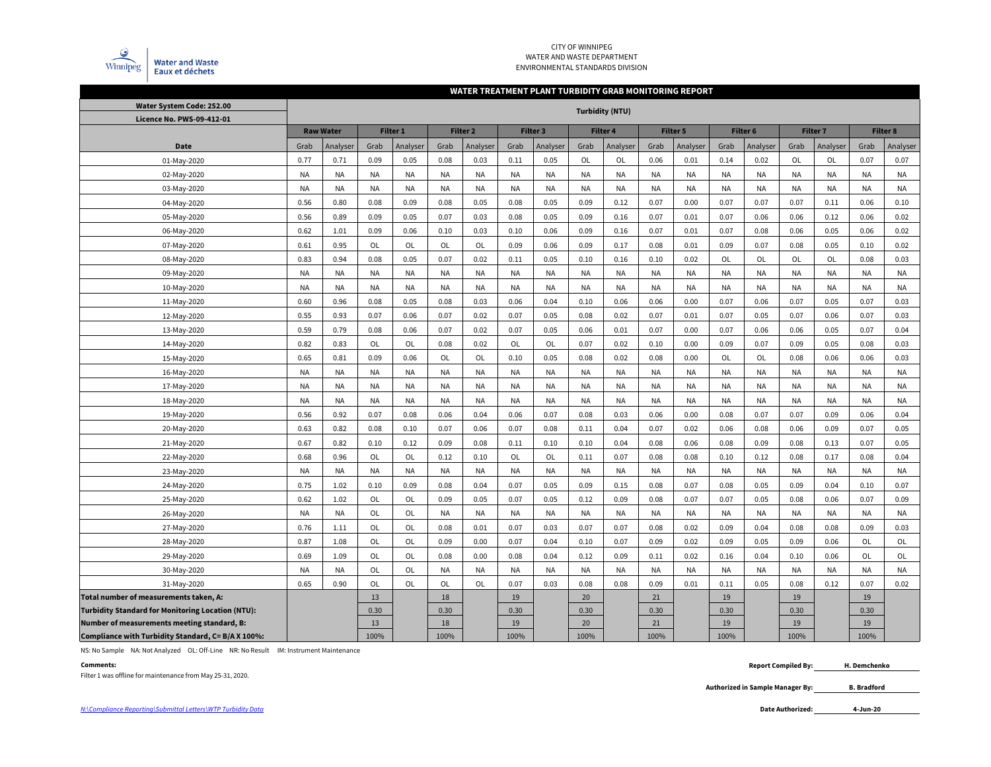

#### CITY OF WINNIPEG WATER AND WASTE DEPARTMENTENVIRONMENTAL STANDARDS DIVISION

#### **WATER TREATMENT PLANT TURBIDITY GRAB MONITORING REPORT**

| Water System Code: 252.00                                |           |                  |           |                     |           |           |           |           |           | <b>Turbidity (NTU)</b> |           |           |           |                     |           |           |           |                 |
|----------------------------------------------------------|-----------|------------------|-----------|---------------------|-----------|-----------|-----------|-----------|-----------|------------------------|-----------|-----------|-----------|---------------------|-----------|-----------|-----------|-----------------|
| Licence No. PWS-09-412-01                                |           |                  |           |                     |           |           |           |           |           |                        |           |           |           |                     |           |           |           |                 |
|                                                          |           | <b>Raw Water</b> |           | Filter <sub>1</sub> |           | Filter 2  |           | Filter 3  |           | Filter 4               |           | Filter 5  |           | Filter <sub>6</sub> |           | Filter 7  |           | <b>Filter 8</b> |
| Date                                                     | Grab      | Analyser         | Grab      | Analyser            | Grab      | Analyser  | Grab      | Analyser  | Grab      | Analyser               | Grab      | Analyser  | Grab      | Analyser            | Grab      | Analyser  | Grab      | Analyser        |
| 01-May-2020                                              | 0.77      | 0.71             | 0.09      | 0.05                | 0.08      | 0.03      | 0.11      | 0.05      | OL        | OL                     | 0.06      | 0.01      | 0.14      | 0.02                | OL        | OL        | 0.07      | 0.07            |
| 02-May-2020                                              | <b>NA</b> | <b>NA</b>        | NA        | NA                  | <b>NA</b> | <b>NA</b> | <b>NA</b> | <b>NA</b> | <b>NA</b> | NA                     | <b>NA</b> | NA        | <b>NA</b> | <b>NA</b>           | <b>NA</b> | <b>NA</b> | <b>NA</b> | <b>NA</b>       |
| 03-May-2020                                              | <b>NA</b> | <b>NA</b>        | <b>NA</b> | <b>NA</b>           | <b>NA</b> | <b>NA</b> | NA        | <b>NA</b> | <b>NA</b> | NA                     | <b>NA</b> | NA        | NA        | <b>NA</b>           | <b>NA</b> | <b>NA</b> | <b>NA</b> | <b>NA</b>       |
| 04-May-2020                                              | 0.56      | 0.80             | 0.08      | 0.09                | 0.08      | 0.05      | 0.08      | 0.05      | 0.09      | 0.12                   | 0.07      | 0.00      | 0.07      | 0.07                | 0.07      | 0.11      | 0.06      | 0.10            |
| 05-May-2020                                              | 0.56      | 0.89             | 0.09      | 0.05                | 0.07      | 0.03      | 0.08      | 0.05      | 0.09      | 0.16                   | 0.07      | 0.01      | 0.07      | 0.06                | 0.06      | 0.12      | 0.06      | 0.02            |
| 06-May-2020                                              | 0.62      | 1.01             | 0.09      | 0.06                | 0.10      | 0.03      | 0.10      | 0.06      | 0.09      | 0.16                   | 0.07      | 0.01      | 0.07      | 0.08                | 0.06      | 0.05      | 0.06      | 0.02            |
| 07-May-2020                                              | 0.61      | 0.95             | OL        | OL                  | OL        | OL        | 0.09      | 0.06      | 0.09      | 0.17                   | 0.08      | 0.01      | 0.09      | 0.07                | 0.08      | 0.05      | 0.10      | 0.02            |
| 08-May-2020                                              | 0.83      | 0.94             | 0.08      | 0.05                | 0.07      | 0.02      | 0.11      | 0.05      | 0.10      | 0.16                   | 0.10      | 0.02      | OL        | OL                  | OL        | <b>OL</b> | 0.08      | 0.03            |
| 09-May-2020                                              | <b>NA</b> | <b>NA</b>        | <b>NA</b> | <b>NA</b>           | <b>NA</b> | <b>NA</b> | <b>NA</b> | <b>NA</b> | <b>NA</b> | <b>NA</b>              | <b>NA</b> | NA        | <b>NA</b> | <b>NA</b>           | <b>NA</b> | <b>NA</b> | <b>NA</b> | <b>NA</b>       |
| 10-May-2020                                              | <b>NA</b> | <b>NA</b>        | NA        | NA                  | <b>NA</b> | <b>NA</b> | <b>NA</b> | <b>NA</b> | <b>NA</b> | <b>NA</b>              | <b>NA</b> | NA        | NA        | <b>NA</b>           | <b>NA</b> | <b>NA</b> | <b>NA</b> | <b>NA</b>       |
| 11-May-2020                                              | 0.60      | 0.96             | 0.08      | 0.05                | 0.08      | 0.03      | 0.06      | 0.04      | 0.10      | 0.06                   | 0.06      | 0.00      | 0.07      | 0.06                | 0.07      | 0.05      | 0.07      | 0.03            |
| 12-May-2020                                              | 0.55      | 0.93             | 0.07      | 0.06                | 0.07      | 0.02      | 0.07      | 0.05      | 0.08      | 0.02                   | 0.07      | 0.01      | 0.07      | 0.05                | 0.07      | 0.06      | 0.07      | 0.03            |
| 13-May-2020                                              | 0.59      | 0.79             | 0.08      | 0.06                | 0.07      | 0.02      | 0.07      | 0.05      | 0.06      | 0.01                   | 0.07      | 0.00      | 0.07      | 0.06                | 0.06      | 0.05      | 0.07      | 0.04            |
| 14-May-2020                                              | 0.82      | 0.83             | OL        | OL                  | 0.08      | 0.02      | OL        | OL        | 0.07      | 0.02                   | 0.10      | 0.00      | 0.09      | 0.07                | 0.09      | 0.05      | 0.08      | 0.03            |
| 15-May-2020                                              | 0.65      | 0.81             | 0.09      | 0.06                | OL        | OL        | 0.10      | 0.05      | 0.08      | 0.02                   | 0.08      | 0.00      | OL        | OL                  | 0.08      | 0.06      | 0.06      | 0.03            |
| 16-May-2020                                              | <b>NA</b> | <b>NA</b>        | NA        | NA                  | <b>NA</b> | <b>NA</b> | <b>NA</b> | <b>NA</b> | <b>NA</b> | <b>NA</b>              | <b>NA</b> | NA        | NA        | <b>NA</b>           | <b>NA</b> | <b>NA</b> | <b>NA</b> | <b>NA</b>       |
| 17-May-2020                                              | <b>NA</b> | <b>NA</b>        | NA        | <b>NA</b>           | <b>NA</b> | <b>NA</b> | NA        | <b>NA</b> | <b>NA</b> | <b>NA</b>              | <b>NA</b> | NA        | NA        | <b>NA</b>           | <b>NA</b> | <b>NA</b> | <b>NA</b> | <b>NA</b>       |
| 18-May-2020                                              | <b>NA</b> | <b>NA</b>        | <b>NA</b> | NA                  | <b>NA</b> | <b>NA</b> | NA        | <b>NA</b> | <b>NA</b> | <b>NA</b>              | <b>NA</b> | NA        | NA        | <b>NA</b>           | <b>NA</b> | <b>NA</b> | <b>NA</b> | <b>NA</b>       |
| 19-May-2020                                              | 0.56      | 0.92             | 0.07      | 0.08                | 0.06      | 0.04      | 0.06      | 0.07      | 0.08      | 0.03                   | 0.06      | 0.00      | 0.08      | 0.07                | 0.07      | 0.09      | 0.06      | 0.04            |
| 20-May-2020                                              | 0.63      | 0.82             | 0.08      | 0.10                | 0.07      | 0.06      | 0.07      | 0.08      | 0.11      | 0.04                   | 0.07      | 0.02      | 0.06      | 0.08                | 0.06      | 0.09      | 0.07      | 0.05            |
| 21-May-2020                                              | 0.67      | 0.82             | 0.10      | 0.12                | 0.09      | 0.08      | 0.11      | 0.10      | 0.10      | 0.04                   | 0.08      | 0.06      | 0.08      | 0.09                | 0.08      | 0.13      | 0.07      | 0.05            |
| 22-May-2020                                              | 0.68      | 0.96             | OL        | OL                  | 0.12      | 0.10      | OL        | OL        | 0.11      | 0.07                   | 0.08      | 0.08      | 0.10      | 0.12                | 0.08      | 0.17      | 0.08      | 0.04            |
| 23-May-2020                                              | <b>NA</b> | <b>NA</b>        | <b>NA</b> | NA                  | <b>NA</b> | <b>NA</b> | <b>NA</b> | <b>NA</b> | <b>NA</b> | <b>NA</b>              | <b>NA</b> | NA        | <b>NA</b> | <b>NA</b>           | <b>NA</b> | <b>NA</b> | <b>NA</b> | <b>NA</b>       |
| 24-May-2020                                              | 0.75      | 1.02             | 0.10      | 0.09                | 0.08      | 0.04      | 0.07      | 0.05      | 0.09      | 0.15                   | 0.08      | 0.07      | 0.08      | 0.05                | 0.09      | 0.04      | 0.10      | 0.07            |
| 25-May-2020                                              | 0.62      | 1.02             | OL        | <b>OL</b>           | 0.09      | 0.05      | 0.07      | 0.05      | 0.12      | 0.09                   | 0.08      | 0.07      | 0.07      | 0.05                | 0.08      | 0.06      | 0.07      | 0.09            |
| 26-May-2020                                              | <b>NA</b> | <b>NA</b>        | OL        | OL                  | <b>NA</b> | <b>NA</b> | <b>NA</b> | <b>NA</b> | <b>NA</b> | <b>NA</b>              | <b>NA</b> | NA        | ΝA        | <b>NA</b>           | <b>NA</b> | <b>NA</b> | <b>NA</b> | <b>NA</b>       |
| 27-May-2020                                              | 0.76      | 1.11             | OL        | OL                  | 0.08      | 0.01      | 0.07      | 0.03      | 0.07      | 0.07                   | 0.08      | 0.02      | 0.09      | 0.04                | 0.08      | 0.08      | 0.09      | 0.03            |
| 28-May-2020                                              | 0.87      | 1.08             | OL        | OL                  | 0.09      | 0.00      | 0.07      | 0.04      | 0.10      | 0.07                   | 0.09      | 0.02      | 0.09      | 0.05                | 0.09      | 0.06      | OL        | OL              |
| 29-May-2020                                              | 0.69      | 1.09             | OL        | OL                  | 0.08      | 0.00      | 0.08      | 0.04      | 0.12      | 0.09                   | 0.11      | 0.02      | 0.16      | 0.04                | 0.10      | 0.06      | OL        | OL              |
| 30-May-2020                                              | <b>NA</b> | <b>NA</b>        | <b>OL</b> | OL                  | <b>NA</b> | <b>NA</b> | <b>NA</b> | <b>NA</b> | <b>NA</b> | <b>NA</b>              | <b>NA</b> | <b>NA</b> | <b>NA</b> | <b>NA</b>           | <b>NA</b> | <b>NA</b> | <b>NA</b> | <b>NA</b>       |
| 31-May-2020                                              | 0.65      | 0.90             | <b>OL</b> | OL                  | OL        | OL        | 0.07      | 0.03      | 0.08      | 0.08                   | 0.09      | 0.01      | 0.11      | 0.05                | 0.08      | 0.12      | 0.07      | 0.02            |
| Total number of measurements taken, A:                   |           |                  | 13        |                     | 18        |           | 19        |           | 20        |                        | 21        |           | 19        |                     | 19        |           | 19        |                 |
| <b>Turbidity Standard for Monitoring Location (NTU):</b> |           |                  | 0.30      |                     | 0.30      |           | 0.30      |           | 0.30      |                        | 0.30      |           | 0.30      |                     | 0.30      |           | 0.30      |                 |
| Number of measurements meeting standard, B:              |           |                  | 13        |                     | 18        |           | 19        |           | 20        |                        | 21        |           | 19        |                     | 19        |           | 19        |                 |
| Compliance with Turbidity Standard, C= B/A X 100%:       |           |                  | 100%      |                     | 100%      |           | 100%      |           | 100%      |                        | 100%      |           | 100%      |                     | 100%      |           | 100%      |                 |

NS: No Sample NA: Not Analyzed OL: Off-Line NR: No Result IM: Instrument Maintenance

#### **Comments:**

Filter 1 was offline for maintenance from May 25-31, 2020.

 **Report Compiled By: H. Demchenko**

> **Authorized in Sample Manager By: B. Bradford**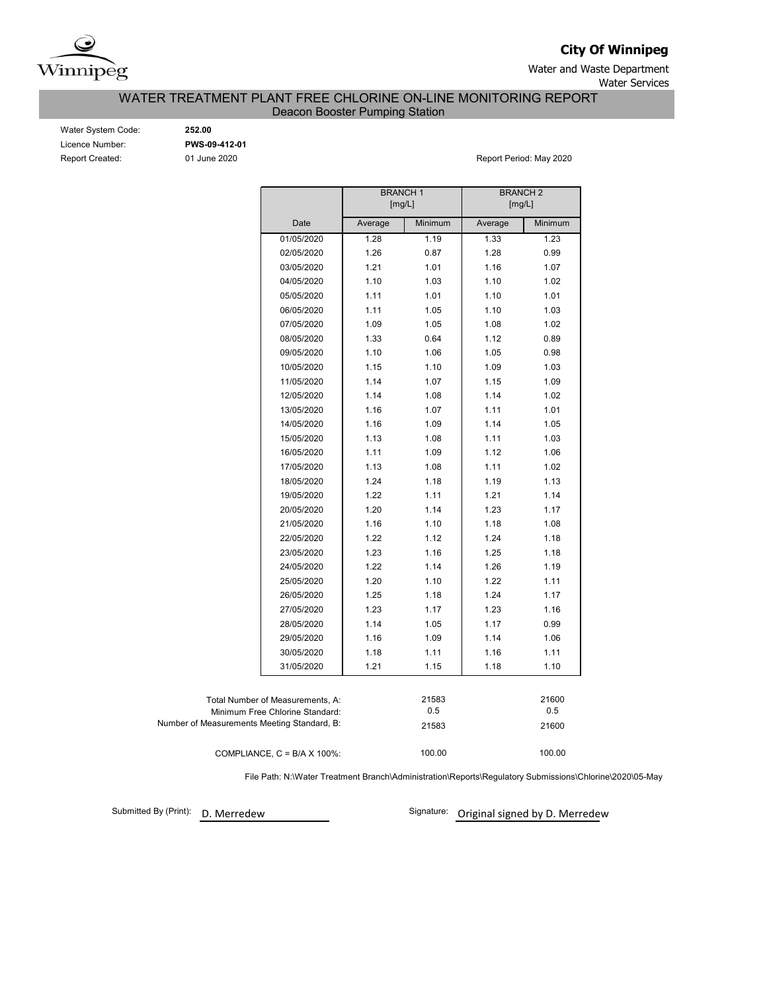

**City Of Winnipeg**

Water and Waste Department Water Services

WATER TREATMENT PLANT FREE CHLORINE ON-LINE MONITORING REPORT

Deacon Booster Pumping Station

| Water System Code:     |
|------------------------|
| Licence Number:        |
| <b>Report Created:</b> |

Water System Code: **252.00** Licence Number: **PWS-09-412-01**

01 June 2020 **Report Period: May 2020** 

|                                             |                                      | <b>BRANCH1</b><br>[mg/L] |         | <b>BRANCH 2</b><br>[mg/L] |         |
|---------------------------------------------|--------------------------------------|--------------------------|---------|---------------------------|---------|
|                                             | Date                                 | Average                  | Minimum | Average                   | Minimum |
|                                             | 01/05/2020                           | 1.28                     | 1.19    | 1.33                      | 1.23    |
|                                             | 02/05/2020                           | 1.26                     | 0.87    | 1.28                      | 0.99    |
|                                             | 03/05/2020                           | 1.21                     | 1.01    | 1.16                      | 1.07    |
|                                             | 04/05/2020                           | 1.10                     | 1.03    | 1.10                      | 1.02    |
|                                             | 05/05/2020                           | 1.11                     | 1.01    | 1.10                      | 1.01    |
|                                             | 06/05/2020                           | 1.11                     | 1.05    | 1.10                      | 1.03    |
|                                             | 07/05/2020                           | 1.09                     | 1.05    | 1.08                      | 1.02    |
|                                             | 08/05/2020                           | 1.33                     | 0.64    | 1.12                      | 0.89    |
|                                             | 09/05/2020                           | 1.10                     | 1.06    | 1.05                      | 0.98    |
|                                             | 10/05/2020                           | 1.15                     | 1.10    | 1.09                      | 1.03    |
|                                             | 11/05/2020                           | 1.14                     | 1.07    | 1.15                      | 1.09    |
|                                             | 12/05/2020                           | 1.14                     | 1.08    | 1.14                      | 1.02    |
|                                             | 13/05/2020                           | 1.16                     | 1.07    | 1.11                      | 1.01    |
|                                             | 14/05/2020                           | 1.16                     | 1.09    | 1.14                      | 1.05    |
|                                             | 15/05/2020                           | 1.13                     | 1.08    | 1.11                      | 1.03    |
|                                             | 16/05/2020                           | 1.11                     | 1.09    | 1.12                      | 1.06    |
|                                             | 17/05/2020                           | 1.13                     | 1.08    | 1.11                      | 1.02    |
|                                             | 18/05/2020                           | 1.24                     | 1.18    | 1.19                      | 1.13    |
|                                             | 19/05/2020                           | 1.22                     | 1.11    | 1.21                      | 1.14    |
|                                             | 20/05/2020                           | 1.20                     | 1.14    | 1.23                      | 1.17    |
|                                             | 21/05/2020                           | 1.16                     | 1.10    | 1.18                      | 1.08    |
|                                             | 22/05/2020                           | 1.22                     | 1.12    | 1.24                      | 1.18    |
|                                             | 23/05/2020                           | 1.23                     | 1.16    | 1.25                      | 1.18    |
|                                             | 24/05/2020                           | 1.22                     | 1.14    | 1.26                      | 1.19    |
|                                             | 25/05/2020                           | 1.20                     | 1.10    | 1.22                      | 1.11    |
|                                             | 26/05/2020                           | 1.25                     | 1.18    | 1.24                      | 1.17    |
|                                             | 27/05/2020                           | 1.23                     | 1.17    | 1.23                      | 1.16    |
|                                             | 28/05/2020                           | 1.14                     | 1.05    | 1.17                      | 0.99    |
|                                             | 29/05/2020                           | 1.16                     | 1.09    | 1.14                      | 1.06    |
|                                             | 30/05/2020                           | 1.18                     | 1.11    | 1.16                      | 1.11    |
|                                             | 31/05/2020                           | 1.21                     | 1.15    | 1.18                      | 1.10    |
|                                             |                                      |                          |         |                           |         |
|                                             | Total Number of Measurements, A:     |                          | 21583   |                           | 21600   |
|                                             | Minimum Free Chlorine Standard:      |                          | 0.5     |                           | 0.5     |
| Number of Measurements Meeting Standard, B: |                                      |                          | 21583   |                           | 21600   |
|                                             | COMPLIANCE, $C = B/A \times 100\%$ : |                          | 100.00  |                           | 100.00  |

File Path: N:\Water Treatment Branch\Administration\Reports\Regulatory Submissions\Chlorine\2020\05-May

Submitted By (Print): D. Merredew

Signature: Original signed by D. Merredew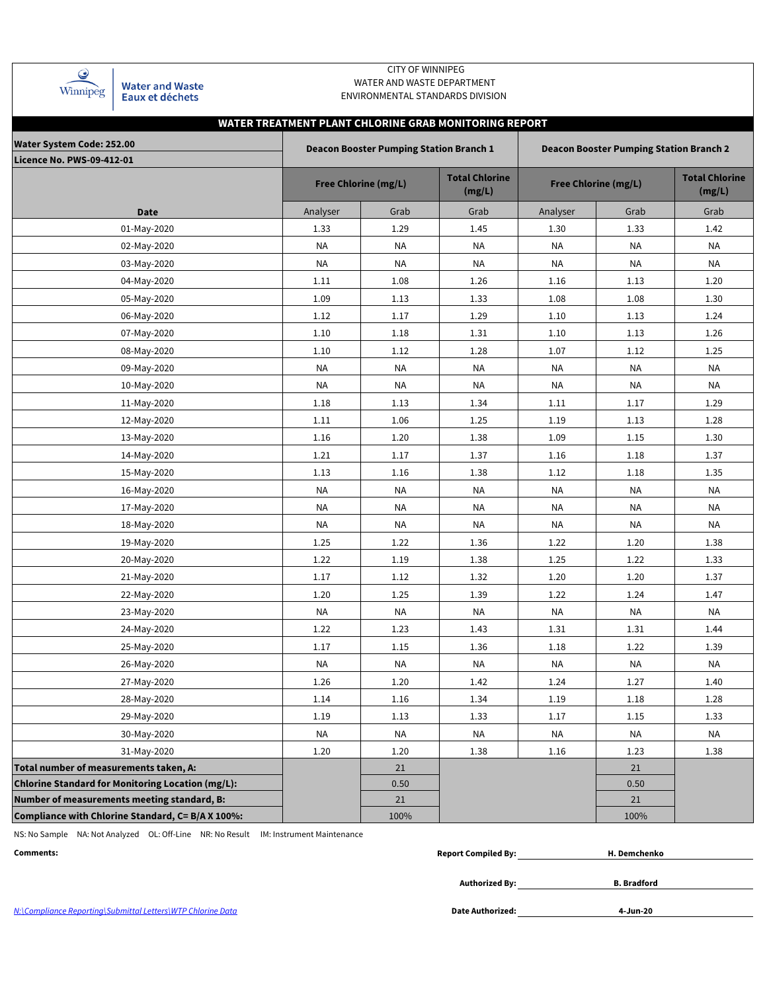| Winnipèg |  |
|----------|--|

**Water and Waste** Eaux et déchets

### CITY OF WINNIPEG WATER AND WASTE DEPARTMENT ENVIRONMENTAL STANDARDS DIVISION

# **WATER TREATMENT PLANT CHLORINE GRAB MONITORING REPORT**

| <b>Water System Code: 252.00</b><br><b>Licence No. PWS-09-412-01</b> |           | <b>Deacon Booster Pumping Station Branch 1</b> |                                 |                             | <b>Deacon Booster Pumping Station Branch 2</b> |                                 |
|----------------------------------------------------------------------|-----------|------------------------------------------------|---------------------------------|-----------------------------|------------------------------------------------|---------------------------------|
|                                                                      |           | <b>Free Chlorine (mg/L)</b>                    | <b>Total Chlorine</b><br>(mg/L) | <b>Free Chlorine (mg/L)</b> |                                                | <b>Total Chlorine</b><br>(mg/L) |
| Date                                                                 | Analyser  | Grab                                           | Grab                            | Analyser                    | Grab                                           | Grab                            |
| 01-May-2020                                                          | 1.33      | 1.29                                           | 1.45                            | 1.30                        | 1.33                                           | 1.42                            |
| 02-May-2020                                                          | NA        | <b>NA</b>                                      | NA                              | <b>NA</b>                   | <b>NA</b>                                      | <b>NA</b>                       |
| 03-May-2020                                                          | NA        | NA                                             | NA                              | <b>NA</b>                   | NA                                             | NA                              |
| 04-May-2020                                                          | 1.11      | 1.08                                           | 1.26                            | 1.16                        | 1.13                                           | 1.20                            |
| 05-May-2020                                                          | 1.09      | 1.13                                           | 1.33                            | 1.08                        | 1.08                                           | 1.30                            |
| 06-May-2020                                                          | 1.12      | 1.17                                           | 1.29                            | 1.10                        | 1.13                                           | 1.24                            |
| 07-May-2020                                                          | 1.10      | 1.18                                           | 1.31                            | 1.10                        | 1.13                                           | 1.26                            |
| 08-May-2020                                                          | 1.10      | 1.12                                           | 1.28                            | 1.07                        | 1.12                                           | 1.25                            |
| 09-May-2020                                                          | ΝA        | NA                                             | NA                              | <b>NA</b>                   | ΝA                                             | NA                              |
| 10-May-2020                                                          | NA        | NA                                             | NA                              | NA                          | NA                                             | NA                              |
| 11-May-2020                                                          | 1.18      | 1.13                                           | 1.34                            | 1.11                        | 1.17                                           | 1.29                            |
| 12-May-2020                                                          | 1.11      | 1.06                                           | 1.25                            | 1.19                        | 1.13                                           | 1.28                            |
| 13-May-2020                                                          | 1.16      | 1.20                                           | 1.38                            | 1.09                        | 1.15                                           | 1.30                            |
| 14-May-2020                                                          | 1.21      | 1.17                                           | 1.37                            | 1.16                        | 1.18                                           | 1.37                            |
| 15-May-2020                                                          | 1.13      | 1.16                                           | 1.38                            | 1.12                        | 1.18                                           | 1.35                            |
| 16-May-2020                                                          | NA        | NA                                             | NA                              | NA                          | <b>NA</b>                                      | NA                              |
| 17-May-2020                                                          | NA        | NA                                             | <b>NA</b>                       | <b>NA</b>                   | ΝA                                             | NA                              |
| 18-May-2020                                                          | ΝA        | ΝA                                             | NA                              | NA                          | ΝA                                             | NA                              |
| 19-May-2020                                                          | 1.25      | 1.22                                           | 1.36                            | 1.22                        | 1.20                                           | 1.38                            |
| 20-May-2020                                                          | 1.22      | 1.19                                           | 1.38                            | 1.25                        | 1.22                                           | 1.33                            |
| 21-May-2020                                                          | 1.17      | 1.12                                           | 1.32                            | 1.20                        | 1.20                                           | 1.37                            |
| 22-May-2020                                                          | $1.20\,$  | 1.25                                           | 1.39                            | 1.22                        | 1.24                                           | 1.47                            |
| 23-May-2020                                                          | NA        | NA                                             | <b>NA</b>                       | <b>NA</b>                   | NA                                             | NA                              |
| 24-May-2020                                                          | 1.22      | 1.23                                           | 1.43                            | 1.31                        | 1.31                                           | 1.44                            |
| 25-May-2020                                                          | 1.17      | 1.15                                           | 1.36                            | 1.18                        | 1.22                                           | 1.39                            |
| 26-May-2020                                                          | <b>NA</b> | <b>NA</b>                                      | <b>NA</b>                       | <b>NA</b>                   | <b>NA</b>                                      | <b>NA</b>                       |
| 27-May-2020                                                          | 1.26      | 1.20                                           | 1.42                            | 1.24                        | 1.27                                           | 1.40                            |
| 28-May-2020                                                          | 1.14      | 1.16                                           | 1.34                            | 1.19                        | $1.18\,$                                       | 1.28                            |
| 29-May-2020                                                          | 1.19      | 1.13                                           | 1.33                            | 1.17                        | 1.15                                           | 1.33                            |
| 30-May-2020                                                          | NA        | <b>NA</b>                                      | NA                              | NA                          | NA                                             | NA                              |
| 31-May-2020                                                          | 1.20      | 1.20                                           | 1.38                            | 1.16                        | 1.23                                           | 1.38                            |
| Total number of measurements taken, A:                               |           | 21                                             |                                 |                             | 21                                             |                                 |
| <b>Chlorine Standard for Monitoring Location (mg/L):</b>             |           | 0.50                                           |                                 |                             | 0.50                                           |                                 |
| Number of measurements meeting standard, B:                          |           | 21                                             |                                 |                             | 21                                             |                                 |
| Compliance with Chlorine Standard, C= B/A X 100%:                    |           | 100%                                           |                                 |                             | 100%                                           |                                 |

NS: No Sample NA: Not Analyzed OL: Off-Line NR: No Result IM: Instrument Maintenance

| Comments: | . Compiled Bv:<br>Report C | d. Demchenko |
|-----------|----------------------------|--------------|
|           |                            |              |

**Authorized By:**

**B. Bradford**

N:\Compliance Reporting\Submittal Letters\WTP Chlorine Data **Date Authorized:**

**4-Jun-20**